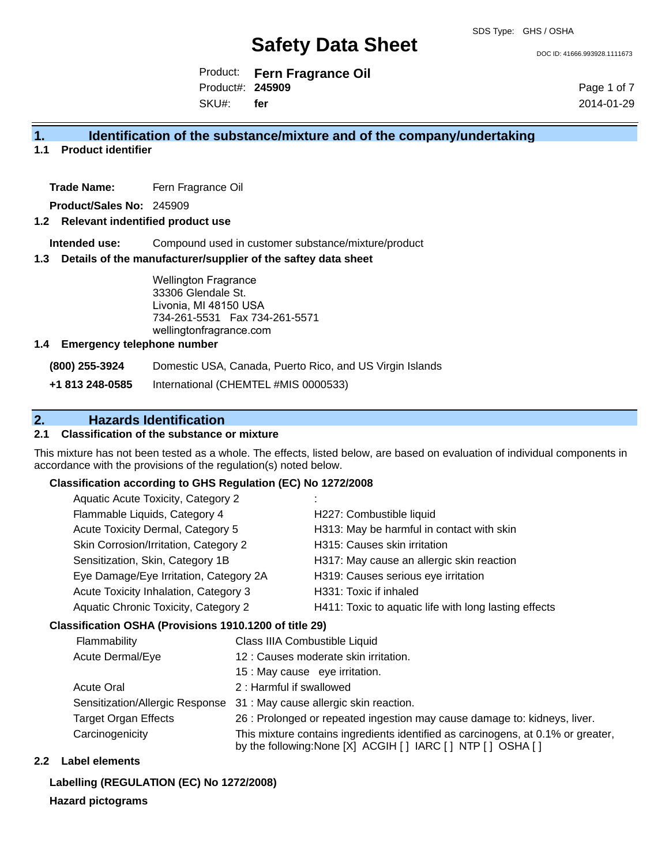DOC ID: 41666.993928.1111673

Product: **Fern Fragrance Oil** Product#: **245909** SKU#: **fer**

Page 1 of 7 2014-01-29

### **1. Identification of the substance/mixture and of the company/undertaking**

#### **1.1 Product identifier**

**Trade Name:** Fern Fragrance Oil

**Product/Sales No:** 245909

#### **1.2 Relevant indentified product use**

**Intended use:** Compound used in customer substance/mixture/product

#### **1.3 Details of the manufacturer/supplier of the saftey data sheet**

Wellington Fragrance 33306 Glendale St. Livonia, MI 48150 USA 734-261-5531 Fax 734-261-5571 wellingtonfragrance.com

#### **1.4 Emergency telephone number**

**(800) 255-3924** Domestic USA, Canada, Puerto Rico, and US Virgin Islands

**+1 813 248-0585** International (CHEMTEL #MIS 0000533)

### **2. Hazards Identification**

#### **2.1 Classification of the substance or mixture**

This mixture has not been tested as a whole. The effects, listed below, are based on evaluation of individual components in accordance with the provisions of the regulation(s) noted below.

#### **Classification according to GHS Regulation (EC) No 1272/2008**

| Aquatic Acute Toxicity, Category 2          |                                                       |
|---------------------------------------------|-------------------------------------------------------|
| Flammable Liquids, Category 4               | H227: Combustible liquid                              |
| Acute Toxicity Dermal, Category 5           | H313: May be harmful in contact with skin             |
| Skin Corrosion/Irritation, Category 2       | H315: Causes skin irritation                          |
| Sensitization, Skin, Category 1B            | H317: May cause an allergic skin reaction             |
| Eye Damage/Eye Irritation, Category 2A      | H319: Causes serious eye irritation                   |
| Acute Toxicity Inhalation, Category 3       | H331: Toxic if inhaled                                |
| <b>Aquatic Chronic Toxicity, Category 2</b> | H411: Toxic to aquatic life with long lasting effects |
|                                             |                                                       |

#### **Classification OSHA (Provisions 1910.1200 of title 29)**

| Flammability                    | Class IIIA Combustible Liquid                                                                                                                      |
|---------------------------------|----------------------------------------------------------------------------------------------------------------------------------------------------|
| Acute Dermal/Eye                | 12 : Causes moderate skin irritation.                                                                                                              |
|                                 | 15 : May cause eye irritation.                                                                                                                     |
| <b>Acute Oral</b>               | 2: Harmful if swallowed                                                                                                                            |
| Sensitization/Allergic Response | 31 : May cause allergic skin reaction.                                                                                                             |
| <b>Target Organ Effects</b>     | 26 : Prolonged or repeated ingestion may cause damage to: kidneys, liver.                                                                          |
| Carcinogenicity                 | This mixture contains ingredients identified as carcinogens, at 0.1% or greater,<br>by the following: None [X] ACGIH [ ] IARC [ ] NTP [ ] OSHA [ ] |

#### **2.2 Label elements**

#### **Labelling (REGULATION (EC) No 1272/2008)**

#### **Hazard pictograms**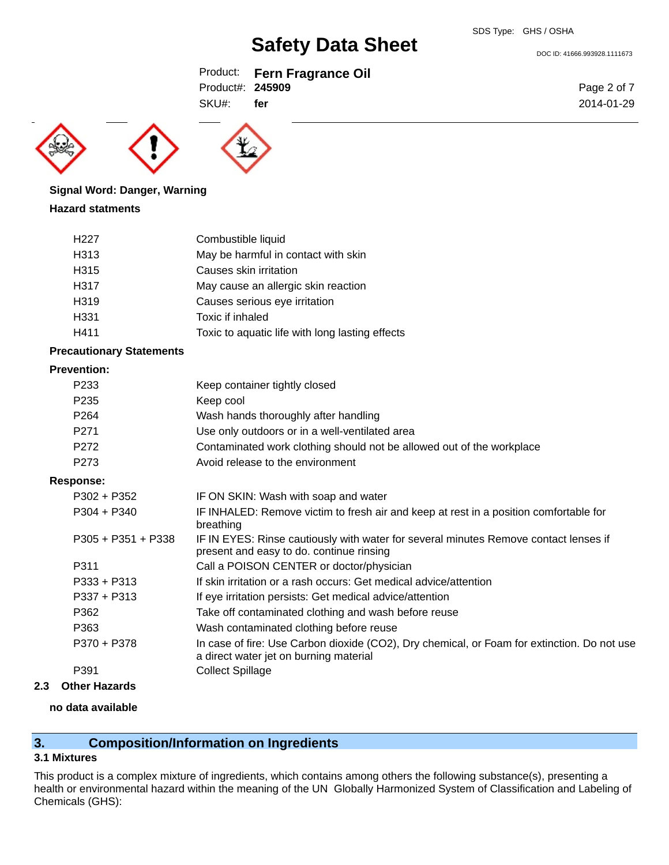DOC ID: 41666.993928.1111673

### Product: **Fern Fragrance Oil**

Product#: **245909** SKU#: **fer**





### **Signal Word: Danger, Warning**

#### **Hazard statments**

| H <sub>22</sub> 7 | Combustible liquid                              |
|-------------------|-------------------------------------------------|
| H313              | May be harmful in contact with skin             |
| H315              | Causes skin irritation                          |
| H317              | May cause an allergic skin reaction             |
| H319              | Causes serious eye irritation                   |
| H331              | Toxic if inhaled                                |
| H411              | Toxic to aquatic life with long lasting effects |

#### **Precautionary Statements**

#### **Prevention:**

| P <sub>2</sub> 33 | Keep container tightly closed                                         |
|-------------------|-----------------------------------------------------------------------|
| P <sub>235</sub>  | Keep cool                                                             |
| P <sub>264</sub>  | Wash hands thoroughly after handling                                  |
| P <sub>271</sub>  | Use only outdoors or in a well-ventilated area                        |
| P <sub>272</sub>  | Contaminated work clothing should not be allowed out of the workplace |
| P <sub>273</sub>  | Avoid release to the environment                                      |

#### **Response:**

| $P302 + P352$        | IF ON SKIN: Wash with soap and water                                                                                                  |
|----------------------|---------------------------------------------------------------------------------------------------------------------------------------|
| $P304 + P340$        | IF INHALED: Remove victim to fresh air and keep at rest in a position comfortable for<br>breathing                                    |
| $P305 + P351 + P338$ | IF IN EYES: Rinse cautiously with water for several minutes Remove contact lenses if<br>present and easy to do. continue rinsing      |
| P311                 | Call a POISON CENTER or doctor/physician                                                                                              |
| $P333 + P313$        | If skin irritation or a rash occurs: Get medical advice/attention                                                                     |
| $P337 + P313$        | If eye irritation persists: Get medical advice/attention                                                                              |
| P362                 | Take off contaminated clothing and wash before reuse                                                                                  |
| P363                 | Wash contaminated clothing before reuse                                                                                               |
| P370 + P378          | In case of fire: Use Carbon dioxide (CO2), Dry chemical, or Foam for extinction. Do not use<br>a direct water jet on burning material |
| P <sub>391</sub>     | <b>Collect Spillage</b>                                                                                                               |
|                      |                                                                                                                                       |

#### **2.3 Other Hazards**

#### **no data available**

### **3. Composition/Information on Ingredients**

#### **3.1 Mixtures**

This product is a complex mixture of ingredients, which contains among others the following substance(s), presenting a health or environmental hazard within the meaning of the UN Globally Harmonized System of Classification and Labeling of Chemicals (GHS):

Page 2 of 7 2014-01-29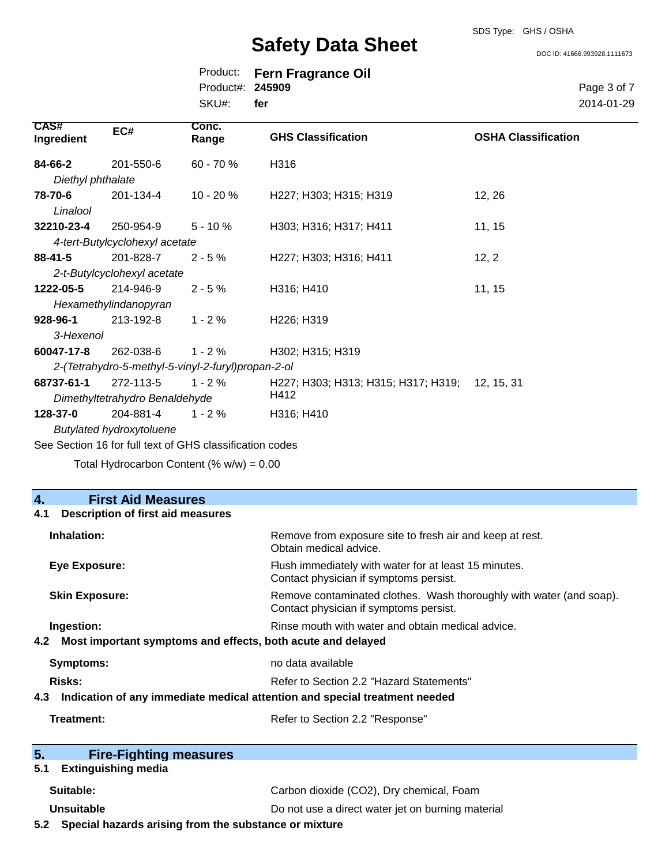DOC ID: 41666.993928.1111673

|                  | Product: Fern Fragrance Oil |
|------------------|-----------------------------|
| Product#: 245909 |                             |
| SKU#: fer        |                             |

Page 3 of 7 2014-01-29

| CAS#<br>Ingredient                                       | EC#                            | Conc.<br>Range | <b>GHS Classification</b>                      | <b>OSHA Classification</b> |
|----------------------------------------------------------|--------------------------------|----------------|------------------------------------------------|----------------------------|
| 84-66-2                                                  | 201-550-6                      | $60 - 70%$     | H316                                           |                            |
| Diethyl phthalate                                        |                                |                |                                                |                            |
| 78-70-6                                                  | 201-134-4                      | 10 - 20 %      | H227; H303; H315; H319                         | 12, 26                     |
| Linalool                                                 |                                |                |                                                |                            |
| 32210-23-4                                               | 250-954-9                      | $5 - 10 \%$    | H303; H316; H317; H411                         | 11, 15                     |
|                                                          | 4-tert-Butylcyclohexyl acetate |                |                                                |                            |
| 88-41-5                                                  | 201-828-7                      | $2 - 5%$       | H227; H303; H316; H411                         | 12, 2                      |
|                                                          | 2-t-Butylcyclohexyl acetate    |                |                                                |                            |
| 1222-05-5                                                | 214-946-9                      | $2 - 5%$       | H316; H410                                     | 11, 15                     |
|                                                          | Hexamethylindanopyran          |                |                                                |                            |
| 928-96-1                                                 | 213-192-8                      | $1 - 2%$       | H <sub>226</sub> ; H <sub>319</sub>            |                            |
| 3-Hexenol                                                |                                |                |                                                |                            |
| 60047-17-8                                               | 262-038-6                      | $1 - 2%$       | H302; H315; H319                               |                            |
| 2-(Tetrahydro-5-methyl-5-vinyl-2-furyl)propan-2-ol       |                                |                |                                                |                            |
| 68737-61-1                                               | 272-113-5                      | $1 - 2 \%$     | H227; H303; H313; H315; H317; H319; 12, 15, 31 |                            |
|                                                          | Dimethyltetrahydro Benaldehyde |                | H412                                           |                            |
| 128-37-0                                                 | 204-881-4                      | $1 - 2 \%$     | H316; H410                                     |                            |
| <b>Butylated hydroxytoluene</b>                          |                                |                |                                                |                            |
| See Section 16 for full text of GHS classification codes |                                |                |                                                |                            |

Total Hydrocarbon Content  $(\% w/w) = 0.00$ 

#### **4. First Aid Measures**

| <b>Description of first aid measures</b><br>4.1                                   |                                                                                                               |  |
|-----------------------------------------------------------------------------------|---------------------------------------------------------------------------------------------------------------|--|
| Inhalation:                                                                       | Remove from exposure site to fresh air and keep at rest.<br>Obtain medical advice.                            |  |
| <b>Eye Exposure:</b>                                                              | Flush immediately with water for at least 15 minutes.<br>Contact physician if symptoms persist.               |  |
| <b>Skin Exposure:</b>                                                             | Remove contaminated clothes. Wash thoroughly with water (and soap).<br>Contact physician if symptoms persist. |  |
| Ingestion:<br>Rinse mouth with water and obtain medical advice.                   |                                                                                                               |  |
| Most important symptoms and effects, both acute and delayed<br>4.2                |                                                                                                               |  |
| Symptoms:                                                                         | no data available                                                                                             |  |
| Risks:                                                                            | Refer to Section 2.2 "Hazard Statements"                                                                      |  |
| Indication of any immediate medical attention and special treatment needed<br>4.3 |                                                                                                               |  |
| Treatment:                                                                        | Refer to Section 2.2 "Response"                                                                               |  |
| 5.<br><b>Fire-Fighting measures</b>                                               |                                                                                                               |  |

#### **5.1 Extinguishing media**

| Suitable:         | Carbon dioxide (CO2), Dry chemical, Foam          |  |
|-------------------|---------------------------------------------------|--|
| <b>Unsuitable</b> | Do not use a direct water jet on burning material |  |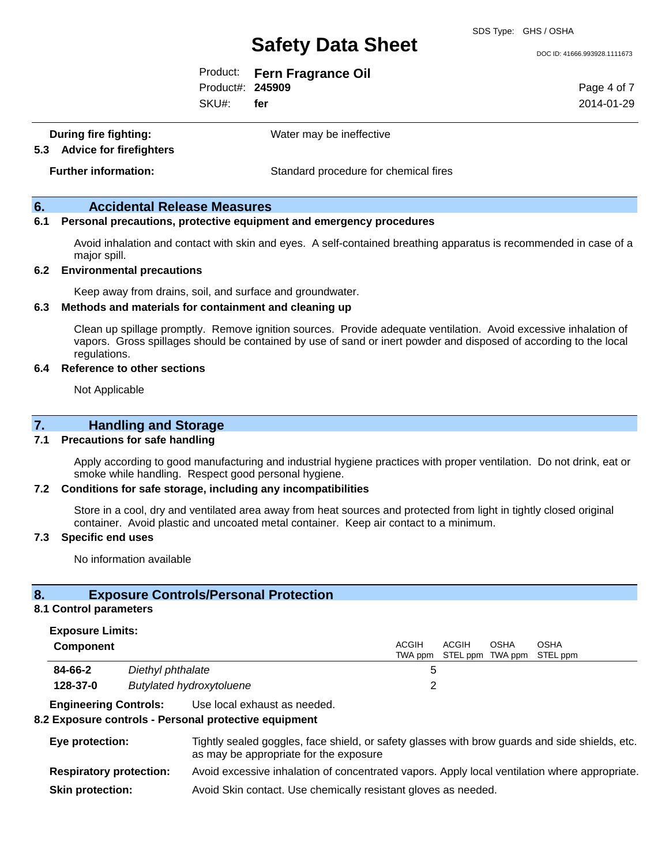DOC ID: 41666.993928.1111673

Product: **Fern Fragrance Oil**

Product#: **245909**

SKU#: **fer**

Page 4 of 7 2014-01-29

**During fire fighting:** Water may be ineffective

**5.3 Advice for firefighters**

**Further information:** Standard procedure for chemical fires

#### **6. Accidental Release Measures**

#### **6.1 Personal precautions, protective equipment and emergency procedures**

Avoid inhalation and contact with skin and eyes. A self-contained breathing apparatus is recommended in case of a major spill.

#### **6.2 Environmental precautions**

Keep away from drains, soil, and surface and groundwater.

#### **6.3 Methods and materials for containment and cleaning up**

Clean up spillage promptly. Remove ignition sources. Provide adequate ventilation. Avoid excessive inhalation of vapors. Gross spillages should be contained by use of sand or inert powder and disposed of according to the local regulations.

#### **6.4 Reference to other sections**

Not Applicable

#### **7. Handling and Storage**

#### **7.1 Precautions for safe handling**

Apply according to good manufacturing and industrial hygiene practices with proper ventilation. Do not drink, eat or smoke while handling. Respect good personal hygiene.

#### **7.2 Conditions for safe storage, including any incompatibilities**

Store in a cool, dry and ventilated area away from heat sources and protected from light in tightly closed original container. Avoid plastic and uncoated metal container. Keep air contact to a minimum.

#### **7.3 Specific end uses**

No information available

#### **8. Exposure Controls/Personal Protection**

#### **8.1 Control parameters**

#### **Exposure Limits:**

| Component |                                 | ACGIH<br><b>ACGIH</b><br>TWA ppm STEL ppm TWA ppm STEL ppm | <b>OSHA</b> | OSHA |
|-----------|---------------------------------|------------------------------------------------------------|-------------|------|
| 84-66-2   | Diethyl phthalate               |                                                            |             |      |
| 128-37-0  | <b>Butylated hydroxytoluene</b> |                                                            |             |      |

#### **Engineering Controls:** Use local exhaust as needed.

#### **8.2 Exposure controls - Personal protective equipment**

| Eye protection:                | Tightly sealed goggles, face shield, or safety glasses with brow guards and side shields, etc.<br>as may be appropriate for the exposure |
|--------------------------------|------------------------------------------------------------------------------------------------------------------------------------------|
| <b>Respiratory protection:</b> | Avoid excessive inhalation of concentrated vapors. Apply local ventilation where appropriate.                                            |
| <b>Skin protection:</b>        | Avoid Skin contact. Use chemically resistant gloves as needed.                                                                           |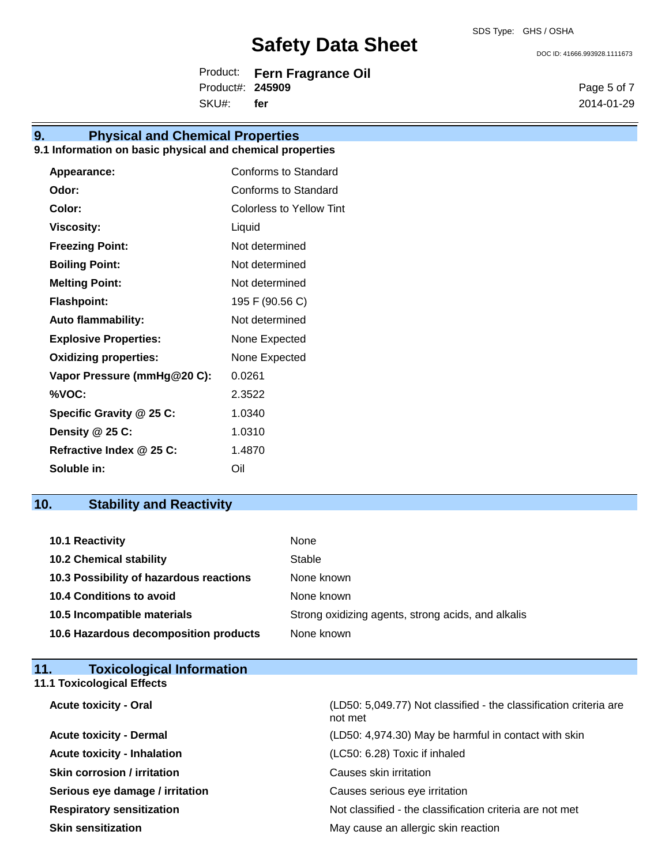Product: **Fern Fragrance Oil** Product#: **245909**

SKU#: **fer**

## **9. Physical and Chemical Properties**

### **9.1 Information on basic physical and chemical properties**

| <b>Appearance:</b>           | <b>Conforms to Standard</b> |
|------------------------------|-----------------------------|
| Odor:                        | Conforms to Standard        |
| Color:                       | Colorless to Yellow Tint    |
| <b>Viscosity:</b>            | Liquid                      |
| <b>Freezing Point:</b>       | Not determined              |
| <b>Boiling Point:</b>        | Not determined              |
| <b>Melting Point:</b>        | Not determined              |
| <b>Flashpoint:</b>           | 195 F (90.56 C)             |
| <b>Auto flammability:</b>    | Not determined              |
| <b>Explosive Properties:</b> | None Expected               |
| <b>Oxidizing properties:</b> | None Expected               |
| Vapor Pressure (mmHg@20 C):  | 0.0261                      |
| %VOC:                        | 2.3522                      |
| Specific Gravity @ 25 C:     | 1.0340                      |
| Density @ 25 C:              | 1.0310                      |
| Refractive Index @ 25 C:     | 1.4870                      |
| Soluble in:                  | Oil                         |

### **10. Stability and Reactivity**

| 10.1 Reactivity                         | None                                               |
|-----------------------------------------|----------------------------------------------------|
| <b>10.2 Chemical stability</b>          | Stable                                             |
| 10.3 Possibility of hazardous reactions | None known                                         |
| <b>10.4 Conditions to avoid</b>         | None known                                         |
| 10.5 Incompatible materials             | Strong oxidizing agents, strong acids, and alkalis |
| 10.6 Hazardous decomposition products   | None known                                         |

| <b>Toxicological Information</b><br>11. |                                                                              |
|-----------------------------------------|------------------------------------------------------------------------------|
| <b>11.1 Toxicological Effects</b>       |                                                                              |
| <b>Acute toxicity - Oral</b>            | (LD50: 5,049.77) Not classified - the classification criteria are<br>not met |
| <b>Acute toxicity - Dermal</b>          | (LD50: 4,974.30) May be harmful in contact with skin                         |
| <b>Acute toxicity - Inhalation</b>      | (LC50: 6.28) Toxic if inhaled                                                |
| <b>Skin corrosion / irritation</b>      | Causes skin irritation                                                       |
| Serious eye damage / irritation         | Causes serious eye irritation                                                |
| <b>Respiratory sensitization</b>        | Not classified - the classification criteria are not met                     |
| <b>Skin sensitization</b>               | May cause an allergic skin reaction                                          |

DOC ID: 41666.993928.1111673

Page 5 of 7 2014-01-29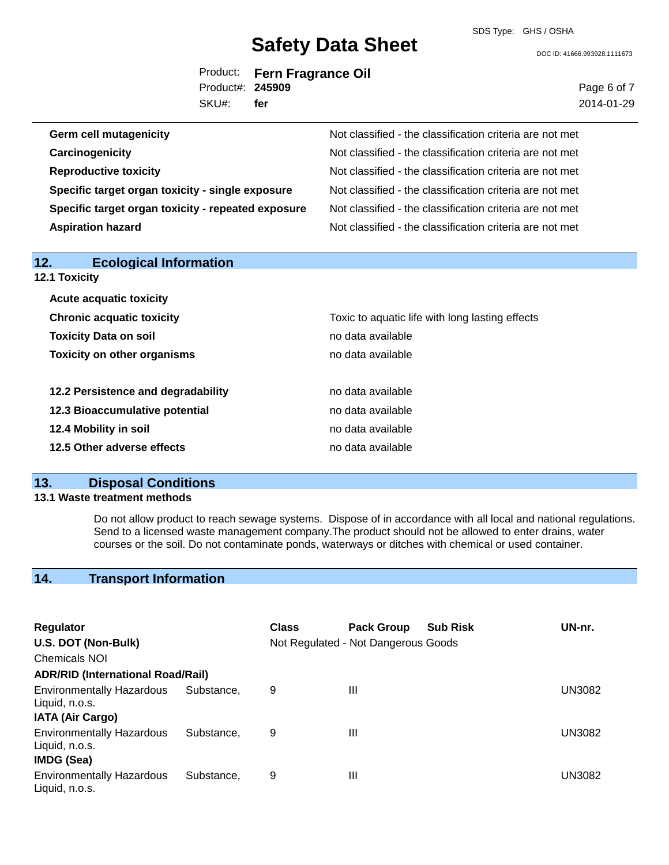SDS Type: GHS / OSHA

DOC ID: 41666.993928.1111673

Page 6 of 7

|                  | Product: Fern Fragrance Oil |
|------------------|-----------------------------|
| Product#: 245909 |                             |
| SKU#: fer        |                             |

|                               | SKU#: | fer | 2014-01-29                                               |
|-------------------------------|-------|-----|----------------------------------------------------------|
| <b>Germ cell mutagenicity</b> |       |     | Not classified - the classification criteria are not met |
| Carcinogenicity               |       |     | Not classified - the classification criteria are not met |
| <b>Reproductive toxicity</b>  |       |     | Not classified - the classification criteria are not met |

**Reproductive toxicity Are classified - the classified - the classified - the classification criteria are not metallicity Specific target organ toxicity - single exposure** Not classified - the classification criteria are not met **Specific target organ toxicity - repeated exposure** Not classified - the classification criteria are not met **Aspiration hazard Not classified - the classification criteria are not met** Not classified - the classification criteria are not met

| 12.<br><b>Ecological Information</b><br><b>12.1 Toxicity</b> |                                                 |
|--------------------------------------------------------------|-------------------------------------------------|
| <b>Acute acquatic toxicity</b>                               |                                                 |
| <b>Chronic acquatic toxicity</b>                             | Toxic to aquatic life with long lasting effects |
| <b>Toxicity Data on soil</b>                                 | no data available                               |
| <b>Toxicity on other organisms</b>                           | no data available                               |
| 12.2 Persistence and degradability                           | no data available                               |
| 12.3 Bioaccumulative potential                               | no data available                               |
| 12.4 Mobility in soil                                        | no data available                               |
| 12.5 Other adverse effects                                   | no data available                               |
|                                                              |                                                 |

#### **13. Disposal Conditions**

#### **13.1 Waste treatment methods**

Do not allow product to reach sewage systems. Dispose of in accordance with all local and national regulations. Send to a licensed waste management company.The product should not be allowed to enter drains, water courses or the soil. Do not contaminate ponds, waterways or ditches with chemical or used container.

### **14. Transport Information**

| <b>Regulator</b><br>U.S. DOT (Non-Bulk)                          |            | <b>Class</b> | <b>Pack Group</b><br>Not Regulated - Not Dangerous Goods | <b>Sub Risk</b> | UN-nr.        |
|------------------------------------------------------------------|------------|--------------|----------------------------------------------------------|-----------------|---------------|
| <b>Chemicals NOI</b>                                             |            |              |                                                          |                 |               |
| <b>ADR/RID (International Road/Rail)</b>                         |            |              |                                                          |                 |               |
| <b>Environmentally Hazardous</b><br>Liquid, n.o.s.               | Substance. | 9            | Ш                                                        |                 | UN3082        |
| <b>IATA (Air Cargo)</b>                                          |            |              |                                                          |                 |               |
| <b>Environmentally Hazardous</b><br>Liquid, n.o.s.<br>IMDG (Sea) | Substance. | 9            | Ш                                                        |                 | <b>UN3082</b> |
| <b>Environmentally Hazardous</b><br>Liquid, n.o.s.               | Substance. | 9            | Ш                                                        |                 | UN3082        |